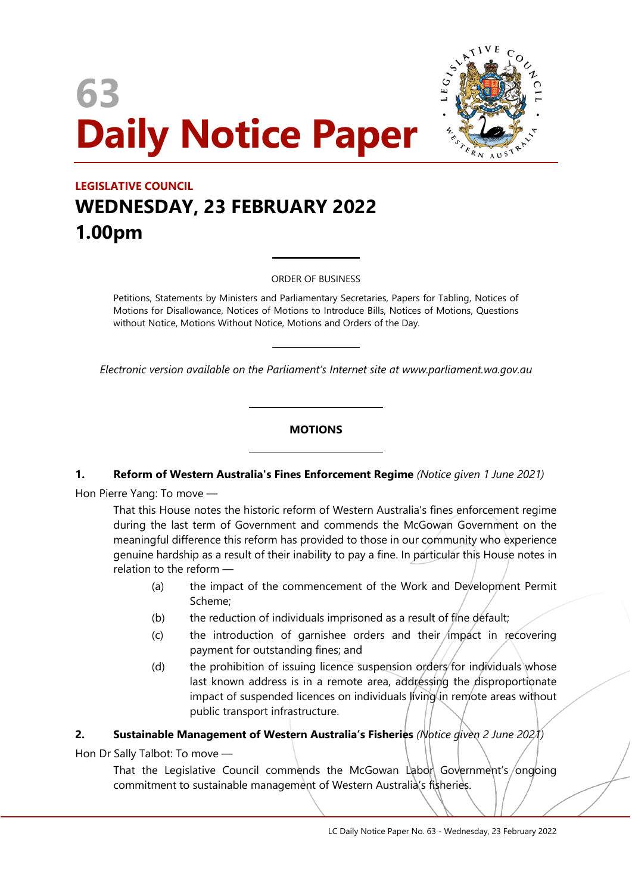# **63 Daily Notice Paper**



# **LEGISLATIVE COUNCIL WEDNESDAY, 23 FEBRUARY 2022 1.00pm**

ORDER OF BUSINESS

 $\overline{a}$ 

 $\overline{a}$ 

 $\overline{\phantom{a}}$ 

 $\overline{\phantom{a}}$ 

Petitions, Statements by Ministers and Parliamentary Secretaries, Papers for Tabling, Notices of Motions for Disallowance, Notices of Motions to Introduce Bills, Notices of Motions, Questions without Notice, Motions Without Notice, Motions and Orders of the Day.

*Electronic version available on the Parliament's Internet site at www.parliament.wa.gov.au*

#### **MOTIONS**

# **1. Reform of Western Australia's Fines Enforcement Regime** *(Notice given 1 June 2021)*

Hon Pierre Yang: To move —

That this House notes the historic reform of Western Australia's fines enforcement regime during the last term of Government and commends the McGowan Government on the meaningful difference this reform has provided to those in our community who experience genuine hardship as a result of their inability to pay a fine. In particular this House notes in relation to the reform —

- (a) the impact of the commencement of the Work and Development Permit Scheme;
- (b) the reduction of individuals imprisoned as a result of fine default;
- $(c)$  the introduction of garnishee orders and their *impact* in recovering payment for outstanding fines; and
- (d) the prohibition of issuing licence suspension orders for individuals whose last known address is in a remote area, addressing the disproportionate impact of suspended licences on individuals living in remote areas without public transport infrastructure.

#### **2. Sustainable Management of Western Australia's Fisheries** *(Notice given 2 June 2021)*

Hon Dr Sally Talbot: To move —

That the Legislative Council commends the McGowan Labor Government's/ongoing commitment to sustainable management of Western Australia's fisheries.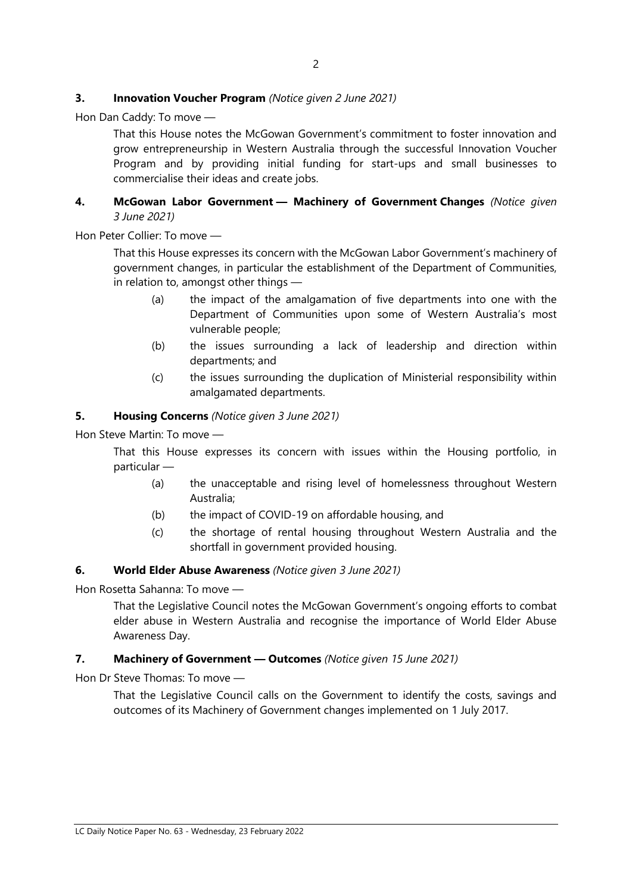#### **3. Innovation Voucher Program** *(Notice given 2 June 2021)*

Hon Dan Caddy: To move —

That this House notes the McGowan Government's commitment to foster innovation and grow entrepreneurship in Western Australia through the successful Innovation Voucher Program and by providing initial funding for start-ups and small businesses to commercialise their ideas and create jobs.

#### **4. McGowan Labor Government — Machinery of Government Changes** *(Notice given 3 June 2021)*

Hon Peter Collier: To move —

That this House expresses its concern with the McGowan Labor Government's machinery of government changes, in particular the establishment of the Department of Communities, in relation to, amongst other things —

- (a) the impact of the amalgamation of five departments into one with the Department of Communities upon some of Western Australia's most vulnerable people;
- (b) the issues surrounding a lack of leadership and direction within departments; and
- (c) the issues surrounding the duplication of Ministerial responsibility within amalgamated departments.

#### **5. Housing Concerns** *(Notice given 3 June 2021)*

Hon Steve Martin: To move —

That this House expresses its concern with issues within the Housing portfolio, in particular —

- (a) the unacceptable and rising level of homelessness throughout Western Australia;
- (b) the impact of COVID-19 on affordable housing, and
- (c) the shortage of rental housing throughout Western Australia and the shortfall in government provided housing.

# **6. World Elder Abuse Awareness** *(Notice given 3 June 2021)*

Hon Rosetta Sahanna: To move —

That the Legislative Council notes the McGowan Government's ongoing efforts to combat elder abuse in Western Australia and recognise the importance of World Elder Abuse Awareness Day.

#### **7. Machinery of Government — Outcomes** *(Notice given 15 June 2021)*

Hon Dr Steve Thomas: To move —

That the Legislative Council calls on the Government to identify the costs, savings and outcomes of its Machinery of Government changes implemented on 1 July 2017.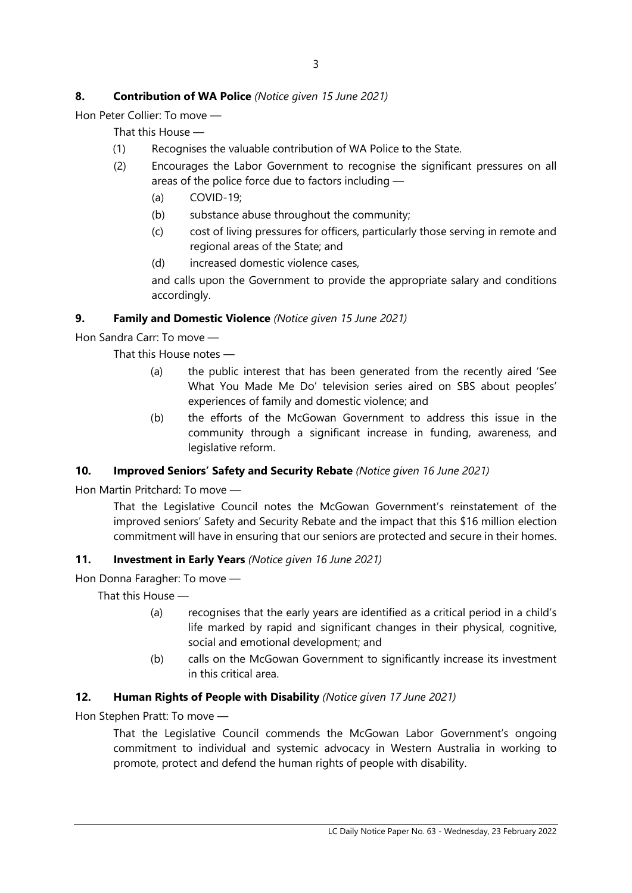# **8. Contribution of WA Police** *(Notice given 15 June 2021)*

Hon Peter Collier: To move —

That this House —

- (1) Recognises the valuable contribution of WA Police to the State.
- (2) Encourages the Labor Government to recognise the significant pressures on all areas of the police force due to factors including —
	- (a) COVID-19;
	- (b) substance abuse throughout the community;
	- (c) cost of living pressures for officers, particularly those serving in remote and regional areas of the State; and
	- (d) increased domestic violence cases,

and calls upon the Government to provide the appropriate salary and conditions accordingly.

# **9. Family and Domestic Violence** *(Notice given 15 June 2021)*

Hon Sandra Carr: To move —

That this House notes —

- (a) the public interest that has been generated from the recently aired 'See What You Made Me Do' television series aired on SBS about peoples' experiences of family and domestic violence; and
- (b) the efforts of the McGowan Government to address this issue in the community through a significant increase in funding, awareness, and legislative reform.

# **10. Improved Seniors' Safety and Security Rebate** *(Notice given 16 June 2021)*

Hon Martin Pritchard: To move —

That the Legislative Council notes the McGowan Government's reinstatement of the improved seniors' Safety and Security Rebate and the impact that this \$16 million election commitment will have in ensuring that our seniors are protected and secure in their homes.

#### **11. Investment in Early Years** *(Notice given 16 June 2021)*

Hon Donna Faragher: To move —

That this House —

- (a) recognises that the early years are identified as a critical period in a child's life marked by rapid and significant changes in their physical, cognitive, social and emotional development; and
- (b) calls on the McGowan Government to significantly increase its investment in this critical area.

# **12. Human Rights of People with Disability** *(Notice given 17 June 2021)*

Hon Stephen Pratt: To move —

That the Legislative Council commends the McGowan Labor Government's ongoing commitment to individual and systemic advocacy in Western Australia in working to promote, protect and defend the human rights of people with disability.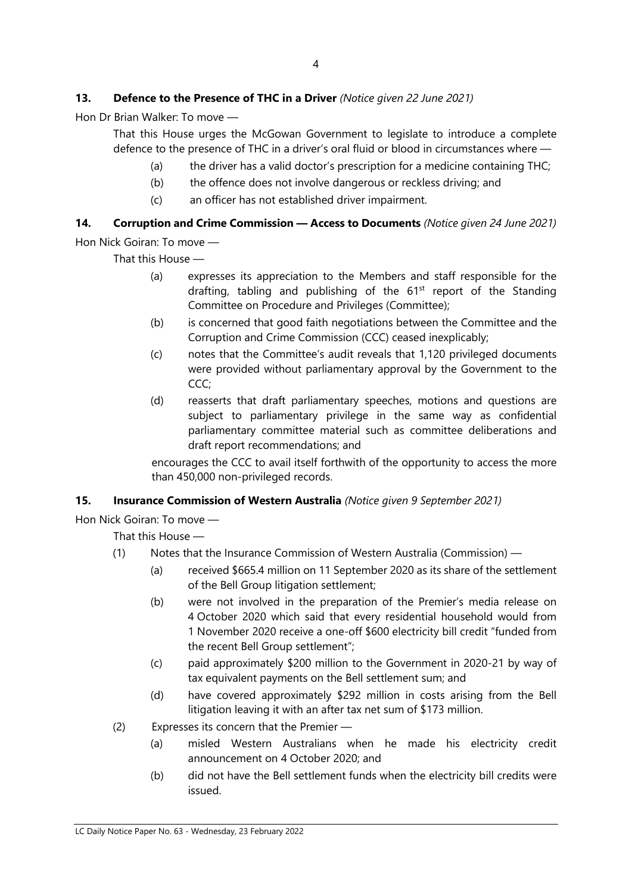# **13. Defence to the Presence of THC in a Driver** *(Notice given 22 June 2021)*

Hon Dr Brian Walker: To move —

That this House urges the McGowan Government to legislate to introduce a complete defence to the presence of THC in a driver's oral fluid or blood in circumstances where —

- (a) the driver has a valid doctor's prescription for a medicine containing THC;
- (b) the offence does not involve dangerous or reckless driving; and
- (c) an officer has not established driver impairment.

# **14. Corruption and Crime Commission — Access to Documents** *(Notice given 24 June 2021)*

Hon Nick Goiran: To move —

That this House —

- (a) expresses its appreciation to the Members and staff responsible for the drafting, tabling and publishing of the  $61<sup>st</sup>$  report of the Standing Committee on Procedure and Privileges (Committee);
- (b) is concerned that good faith negotiations between the Committee and the Corruption and Crime Commission (CCC) ceased inexplicably;
- (c) notes that the Committee's audit reveals that 1,120 privileged documents were provided without parliamentary approval by the Government to the CCC;
- (d) reasserts that draft parliamentary speeches, motions and questions are subject to parliamentary privilege in the same way as confidential parliamentary committee material such as committee deliberations and draft report recommendations; and

encourages the CCC to avail itself forthwith of the opportunity to access the more than 450,000 non-privileged records.

# **15. Insurance Commission of Western Australia** *(Notice given 9 September 2021)*

# Hon Nick Goiran: To move —

That this House —

- (1) Notes that the Insurance Commission of Western Australia (Commission)
	- (a) received \$665.4 million on 11 September 2020 as its share of the settlement of the Bell Group litigation settlement;
	- (b) were not involved in the preparation of the Premier's media release on 4 October 2020 which said that every residential household would from 1 November 2020 receive a one-off \$600 electricity bill credit "funded from the recent Bell Group settlement";
	- (c) paid approximately \$200 million to the Government in 2020-21 by way of tax equivalent payments on the Bell settlement sum; and
	- (d) have covered approximately \$292 million in costs arising from the Bell litigation leaving it with an after tax net sum of \$173 million.
- (2) Expresses its concern that the Premier
	- (a) misled Western Australians when he made his electricity credit announcement on 4 October 2020; and
	- (b) did not have the Bell settlement funds when the electricity bill credits were issued.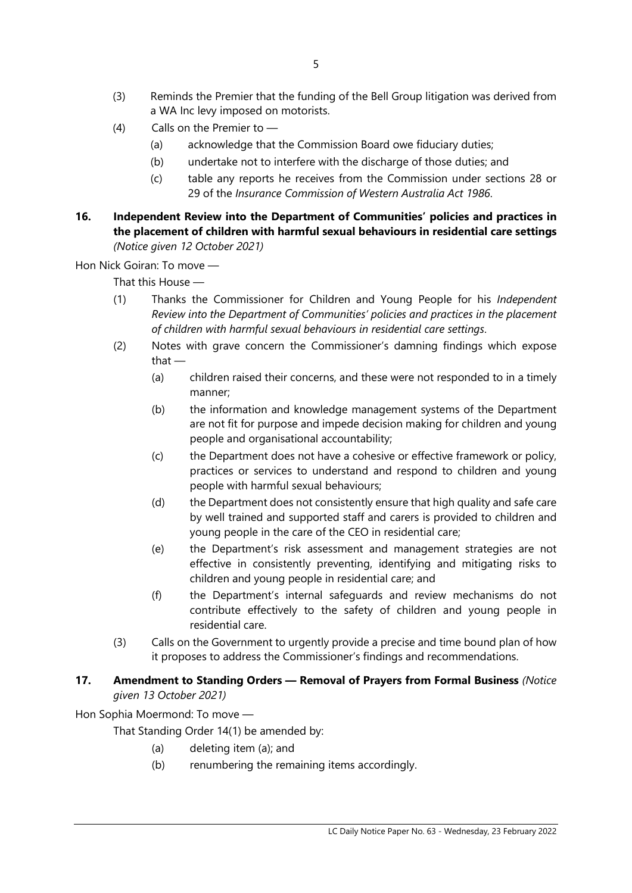- (3) Reminds the Premier that the funding of the Bell Group litigation was derived from a WA Inc levy imposed on motorists.
- (4) Calls on the Premier to
	- (a) acknowledge that the Commission Board owe fiduciary duties;
	- (b) undertake not to interfere with the discharge of those duties; and
	- (c) table any reports he receives from the Commission under sections 28 or 29 of the *Insurance Commission of Western Australia Act 1986*.
- **16. Independent Review into the Department of Communities' policies and practices in the placement of children with harmful sexual behaviours in residential care settings** *(Notice given 12 October 2021)*

Hon Nick Goiran: To move —

That this House —

- (1) Thanks the Commissioner for Children and Young People for his *Independent Review into the Department of Communities' policies and practices in the placement of children with harmful sexual behaviours in residential care settings*.
- (2) Notes with grave concern the Commissioner's damning findings which expose that —
	- (a) children raised their concerns, and these were not responded to in a timely manner;
	- (b) the information and knowledge management systems of the Department are not fit for purpose and impede decision making for children and young people and organisational accountability;
	- (c) the Department does not have a cohesive or effective framework or policy, practices or services to understand and respond to children and young people with harmful sexual behaviours;
	- (d) the Department does not consistently ensure that high quality and safe care by well trained and supported staff and carers is provided to children and young people in the care of the CEO in residential care;
	- (e) the Department's risk assessment and management strategies are not effective in consistently preventing, identifying and mitigating risks to children and young people in residential care; and
	- (f) the Department's internal safeguards and review mechanisms do not contribute effectively to the safety of children and young people in residential care.
- (3) Calls on the Government to urgently provide a precise and time bound plan of how it proposes to address the Commissioner's findings and recommendations.

# **17. Amendment to Standing Orders — Removal of Prayers from Formal Business** *(Notice given 13 October 2021)*

Hon Sophia Moermond: To move —

That Standing Order 14(1) be amended by:

- (a) deleting item (a); and
- (b) renumbering the remaining items accordingly.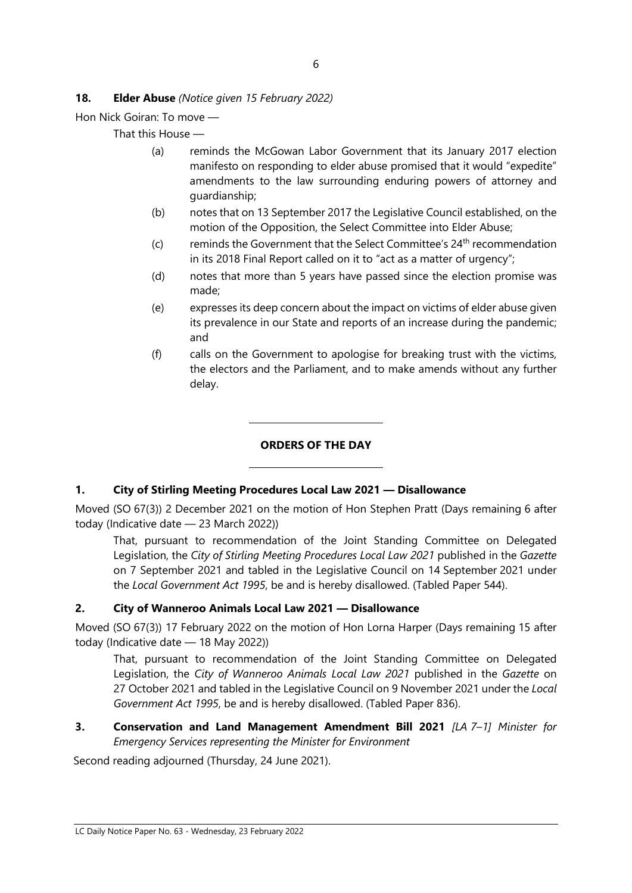# **18. Elder Abuse** *(Notice given 15 February 2022)*

Hon Nick Goiran: To move —

That this House —

- (a) reminds the McGowan Labor Government that its January 2017 election manifesto on responding to elder abuse promised that it would "expedite" amendments to the law surrounding enduring powers of attorney and guardianship;
- (b) notes that on 13 September 2017 the Legislative Council established, on the motion of the Opposition, the Select Committee into Elder Abuse;
- (c) reminds the Government that the Select Committee's  $24<sup>th</sup>$  recommendation in its 2018 Final Report called on it to "act as a matter of urgency";
- (d) notes that more than 5 years have passed since the election promise was made;
- (e) expresses its deep concern about the impact on victims of elder abuse given its prevalence in our State and reports of an increase during the pandemic; and
- (f) calls on the Government to apologise for breaking trust with the victims, the electors and the Parliament, and to make amends without any further delay.

# **ORDERS OF THE DAY**

# **1. City of Stirling Meeting Procedures Local Law 2021 — Disallowance**

 $\overline{\phantom{a}}$ 

 $\overline{\phantom{a}}$ 

Moved (SO 67(3)) 2 December 2021 on the motion of Hon Stephen Pratt (Days remaining 6 after today (Indicative date — 23 March 2022))

That, pursuant to recommendation of the Joint Standing Committee on Delegated Legislation, the *City of Stirling Meeting Procedures Local Law 2021* published in the *Gazette* on 7 September 2021 and tabled in the Legislative Council on 14 September 2021 under the *Local Government Act 1995*, be and is hereby disallowed. (Tabled Paper 544).

#### **2. City of Wanneroo Animals Local Law 2021 — Disallowance**

Moved (SO 67(3)) 17 February 2022 on the motion of Hon Lorna Harper (Days remaining 15 after today (Indicative date — 18 May 2022))

That, pursuant to recommendation of the Joint Standing Committee on Delegated Legislation, the *City of Wanneroo Animals Local Law 2021* published in the *Gazette* on 27 October 2021 and tabled in the Legislative Council on 9 November 2021 under the *Local Government Act 1995*, be and is hereby disallowed. (Tabled Paper 836).

# **3. Conservation and Land Management Amendment Bill 2021** *[LA 7–1] Minister for Emergency Services representing the Minister for Environment*

Second reading adjourned (Thursday, 24 June 2021).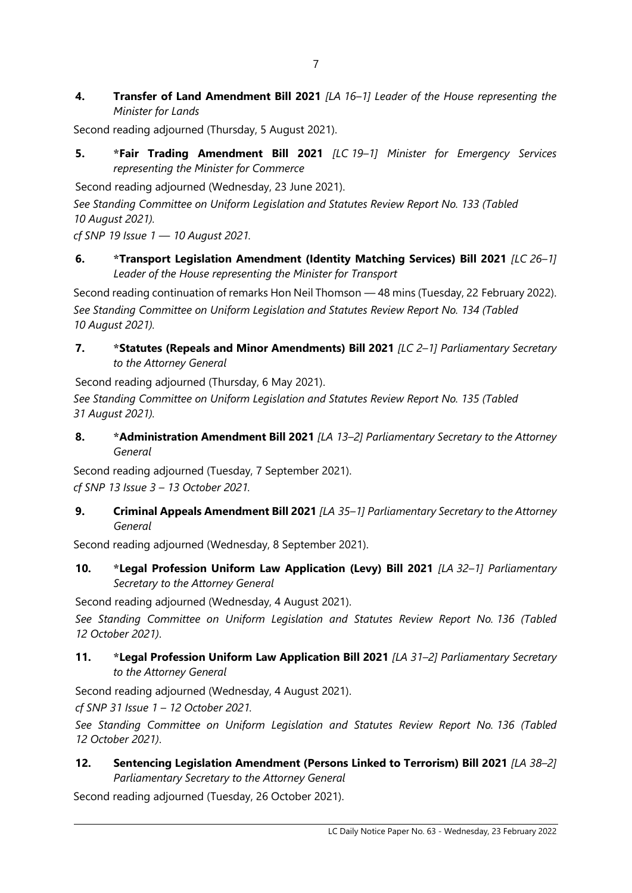**4. Transfer of Land Amendment Bill 2021** *[LA 16–1] Leader of the House representing the Minister for Lands*

Second reading adjourned (Thursday, 5 August 2021).

**5. \*Fair Trading Amendment Bill 2021** *[LC 19–1] Minister for Emergency Services representing the Minister for Commerce*

Second reading adjourned (Wednesday, 23 June 2021).

*See Standing Committee on Uniform Legislation and Statutes Review Report No. 133 (Tabled 10 August 2021).*

*cf SNP 19 Issue 1 — 10 August 2021.*

**6. \*Transport Legislation Amendment (Identity Matching Services) Bill 2021** *[LC 26–1] Leader of the House representing the Minister for Transport*

Second reading continuation of remarks Hon Neil Thomson — 48 mins (Tuesday, 22 February 2022). *See Standing Committee on Uniform Legislation and Statutes Review Report No. 134 (Tabled 10 August 2021).*

**7. \*Statutes (Repeals and Minor Amendments) Bill 2021** *[LC 2–1] Parliamentary Secretary to the Attorney General*

Second reading adjourned (Thursday, 6 May 2021).

*See Standing Committee on Uniform Legislation and Statutes Review Report No. 135 (Tabled 31 August 2021).*

**8. \*Administration Amendment Bill 2021** *[LA 13–2] Parliamentary Secretary to the Attorney General*

Second reading adjourned (Tuesday, 7 September 2021). *cf SNP 13 Issue 3 – 13 October 2021.*

**9. Criminal Appeals Amendment Bill 2021** *[LA 35–1] Parliamentary Secretary to the Attorney General*

Second reading adjourned (Wednesday, 8 September 2021).

**10. \*Legal Profession Uniform Law Application (Levy) Bill 2021** *[LA 32–1] Parliamentary Secretary to the Attorney General*

Second reading adjourned (Wednesday, 4 August 2021).

*See Standing Committee on Uniform Legislation and Statutes Review Report No. 136 (Tabled 12 October 2021)*.

**11. \*Legal Profession Uniform Law Application Bill 2021** *[LA 31–2] Parliamentary Secretary to the Attorney General*

Second reading adjourned (Wednesday, 4 August 2021).

*cf SNP 31 Issue 1 – 12 October 2021.*

*See Standing Committee on Uniform Legislation and Statutes Review Report No. 136 (Tabled 12 October 2021)*.

**12. Sentencing Legislation Amendment (Persons Linked to Terrorism) Bill 2021** *[LA 38–2] Parliamentary Secretary to the Attorney General*

Second reading adjourned (Tuesday, 26 October 2021).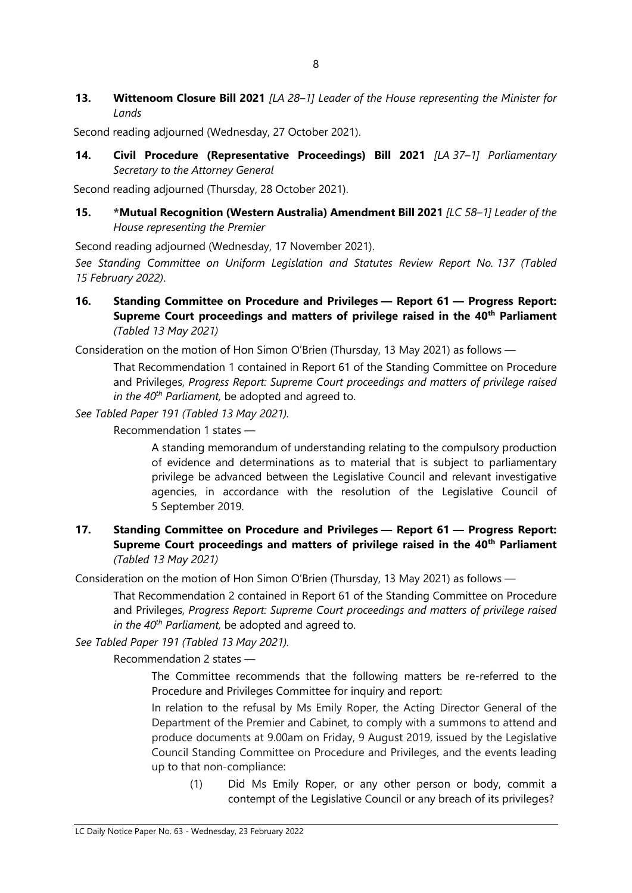**13. Wittenoom Closure Bill 2021** *[LA 28–1] Leader of the House representing the Minister for Lands*

Second reading adjourned (Wednesday, 27 October 2021).

**14. Civil Procedure (Representative Proceedings) Bill 2021** *[LA 37–1] Parliamentary Secretary to the Attorney General*

Second reading adjourned (Thursday, 28 October 2021).

**15. \*Mutual Recognition (Western Australia) Amendment Bill 2021** *[LC 58–1] Leader of the House representing the Premier*

Second reading adjourned (Wednesday, 17 November 2021).

*See Standing Committee on Uniform Legislation and Statutes Review Report No. 137 (Tabled 15 February 2022)*.

**16. Standing Committee on Procedure and Privileges — Report 61 — Progress Report: Supreme Court proceedings and matters of privilege raised in the 40th Parliament** *(Tabled 13 May 2021)*

Consideration on the motion of Hon Simon O'Brien (Thursday, 13 May 2021) as follows —

That Recommendation 1 contained in Report 61 of the Standing Committee on Procedure and Privileges, *Progress Report: Supreme Court proceedings and matters of privilege raised in the 40th Parliament,* be adopted and agreed to.

*See Tabled Paper 191 (Tabled 13 May 2021).*

Recommendation 1 states —

A standing memorandum of understanding relating to the compulsory production of evidence and determinations as to material that is subject to parliamentary privilege be advanced between the Legislative Council and relevant investigative agencies, in accordance with the resolution of the Legislative Council of 5 September 2019.

# **17. Standing Committee on Procedure and Privileges — Report 61 — Progress Report: Supreme Court proceedings and matters of privilege raised in the 40th Parliament** *(Tabled 13 May 2021)*

Consideration on the motion of Hon Simon O'Brien (Thursday, 13 May 2021) as follows —

That Recommendation 2 contained in Report 61 of the Standing Committee on Procedure and Privileges, *Progress Report: Supreme Court proceedings and matters of privilege raised in the 40th Parliament,* be adopted and agreed to.

*See Tabled Paper 191 (Tabled 13 May 2021).*

Recommendation 2 states —

The Committee recommends that the following matters be re-referred to the Procedure and Privileges Committee for inquiry and report:

In relation to the refusal by Ms Emily Roper, the Acting Director General of the Department of the Premier and Cabinet, to comply with a summons to attend and produce documents at 9.00am on Friday, 9 August 2019, issued by the Legislative Council Standing Committee on Procedure and Privileges, and the events leading up to that non-compliance:

(1) Did Ms Emily Roper, or any other person or body, commit a contempt of the Legislative Council or any breach of its privileges?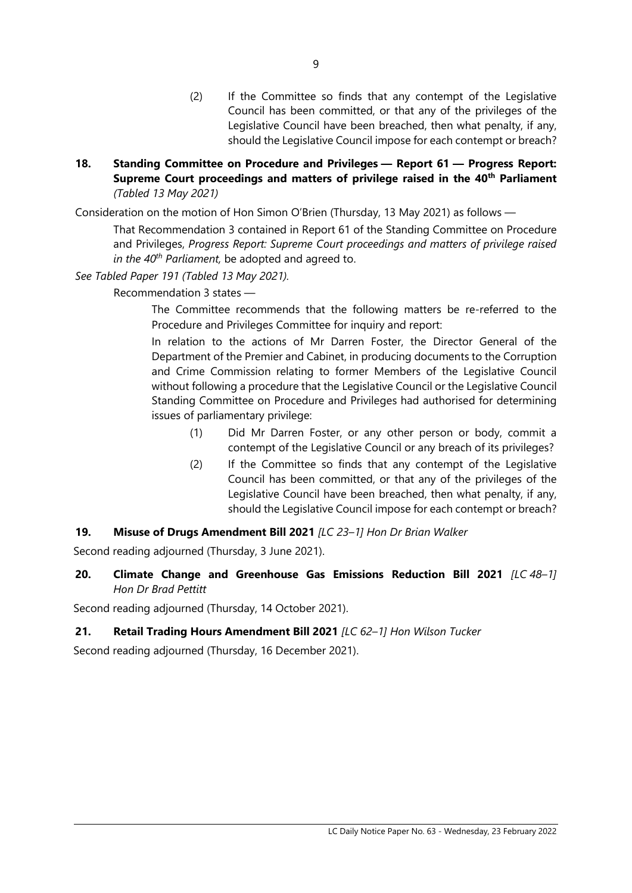- (2) If the Committee so finds that any contempt of the Legislative Council has been committed, or that any of the privileges of the Legislative Council have been breached, then what penalty, if any, should the Legislative Council impose for each contempt or breach?
- **18. Standing Committee on Procedure and Privileges — Report 61 — Progress Report: Supreme Court proceedings and matters of privilege raised in the 40th Parliament** *(Tabled 13 May 2021)*

Consideration on the motion of Hon Simon O'Brien (Thursday, 13 May 2021) as follows —

That Recommendation 3 contained in Report 61 of the Standing Committee on Procedure and Privileges, *Progress Report: Supreme Court proceedings and matters of privilege raised in the 40th Parliament,* be adopted and agreed to.

#### *See Tabled Paper 191 (Tabled 13 May 2021).*

Recommendation 3 states —

The Committee recommends that the following matters be re-referred to the Procedure and Privileges Committee for inquiry and report:

In relation to the actions of Mr Darren Foster, the Director General of the Department of the Premier and Cabinet, in producing documents to the Corruption and Crime Commission relating to former Members of the Legislative Council without following a procedure that the Legislative Council or the Legislative Council Standing Committee on Procedure and Privileges had authorised for determining issues of parliamentary privilege:

- (1) Did Mr Darren Foster, or any other person or body, commit a contempt of the Legislative Council or any breach of its privileges?
- (2) If the Committee so finds that any contempt of the Legislative Council has been committed, or that any of the privileges of the Legislative Council have been breached, then what penalty, if any, should the Legislative Council impose for each contempt or breach?
- **19. Misuse of Drugs Amendment Bill 2021** *[LC 23–1] Hon Dr Brian Walker*

Second reading adjourned (Thursday, 3 June 2021).

**20. Climate Change and Greenhouse Gas Emissions Reduction Bill 2021** *[LC 48–1] Hon Dr Brad Pettitt*

Second reading adjourned (Thursday, 14 October 2021).

#### **21. Retail Trading Hours Amendment Bill 2021** *[LC 62–1] Hon Wilson Tucker*

Second reading adjourned (Thursday, 16 December 2021).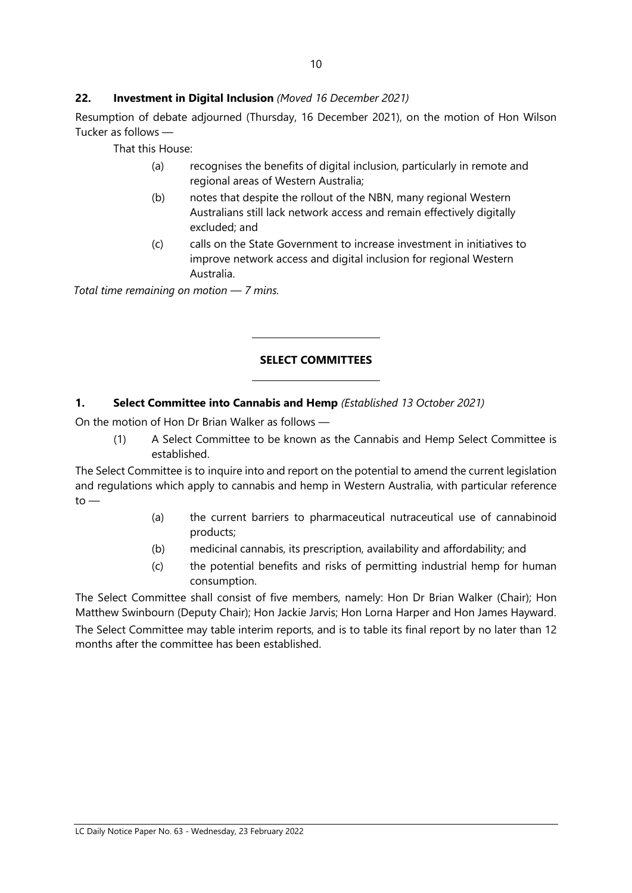#### **22. Investment in Digital Inclusion** *(Moved 16 December 2021)*

Resumption of debate adjourned (Thursday, 16 December 2021), on the motion of Hon Wilson Tucker as follows —

That this House:

- (a) recognises the benefits of digital inclusion, particularly in remote and regional areas of Western Australia;
- (b) notes that despite the rollout of the NBN, many regional Western Australians still lack network access and remain effectively digitally excluded; and
- (c) calls on the State Government to increase investment in initiatives to improve network access and digital inclusion for regional Western Australia.

*Total time remaining on motion — 7 mins.*

#### **SELECT COMMITTEES**

#### **1. Select Committee into Cannabis and Hemp** *(Established 13 October 2021)*

 $\overline{a}$ 

 $\overline{a}$ 

On the motion of Hon Dr Brian Walker as follows —

(1) A Select Committee to be known as the Cannabis and Hemp Select Committee is established.

The Select Committee is to inquire into and report on the potential to amend the current legislation and regulations which apply to cannabis and hemp in Western Australia, with particular reference  $to -$ 

- (a) the current barriers to pharmaceutical nutraceutical use of cannabinoid products;
- (b) medicinal cannabis, its prescription, availability and affordability; and
- (c) the potential benefits and risks of permitting industrial hemp for human consumption.

The Select Committee shall consist of five members, namely: Hon Dr Brian Walker (Chair); Hon Matthew Swinbourn (Deputy Chair); Hon Jackie Jarvis; Hon Lorna Harper and Hon James Hayward. The Select Committee may table interim reports, and is to table its final report by no later than 12 months after the committee has been established.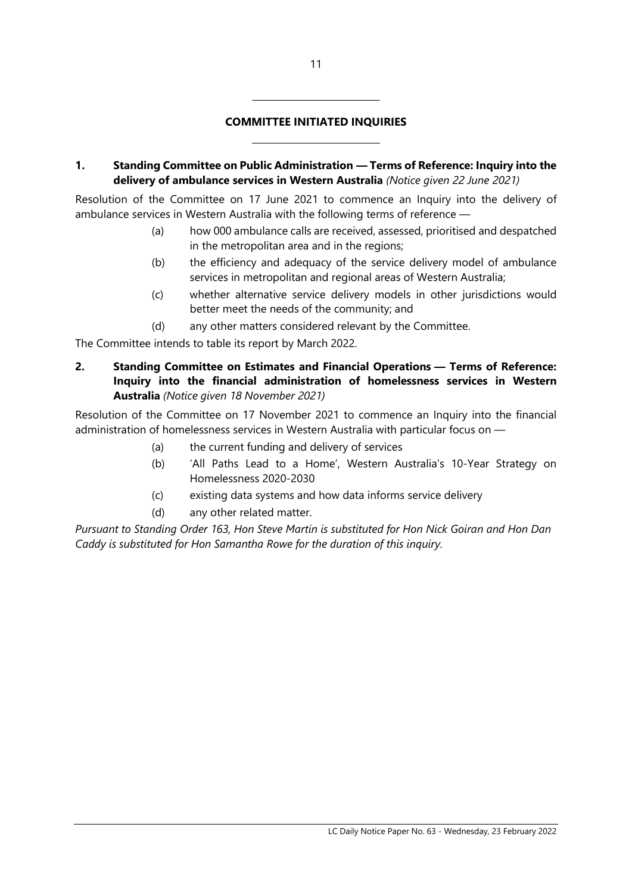#### **COMMITTEE INITIATED INQUIRIES**

 $\overline{a}$ 

 $\overline{a}$ 

**1. Standing Committee on Public Administration — Terms of Reference: Inquiry into the delivery of ambulance services in Western Australia** *(Notice given 22 June 2021)*

Resolution of the Committee on 17 June 2021 to commence an Inquiry into the delivery of ambulance services in Western Australia with the following terms of reference —

- (a) how 000 ambulance calls are received, assessed, prioritised and despatched in the metropolitan area and in the regions;
- (b) the efficiency and adequacy of the service delivery model of ambulance services in metropolitan and regional areas of Western Australia;
- (c) whether alternative service delivery models in other jurisdictions would better meet the needs of the community; and
- (d) any other matters considered relevant by the Committee.

The Committee intends to table its report by March 2022.

**2. Standing Committee on Estimates and Financial Operations — Terms of Reference: Inquiry into the financial administration of homelessness services in Western Australia** *(Notice given 18 November 2021)*

Resolution of the Committee on 17 November 2021 to commence an Inquiry into the financial administration of homelessness services in Western Australia with particular focus on —

- (a) the current funding and delivery of services
- (b) 'All Paths Lead to a Home', Western Australia's 10-Year Strategy on Homelessness 2020-2030
- (c) existing data systems and how data informs service delivery
- (d) any other related matter.

*Pursuant to Standing Order 163, Hon Steve Martin is substituted for Hon Nick Goiran and Hon Dan Caddy is substituted for Hon Samantha Rowe for the duration of this inquiry.*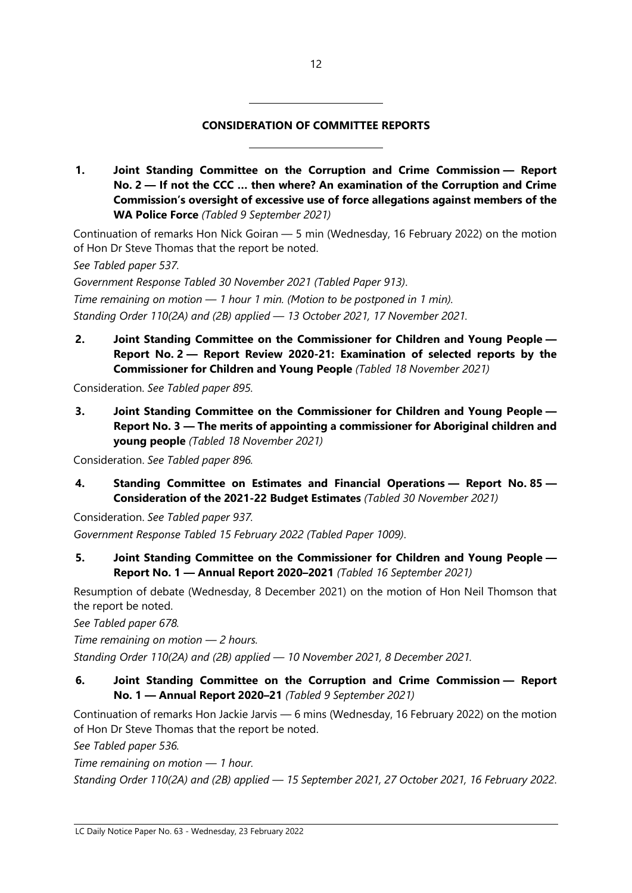#### **CONSIDERATION OF COMMITTEE REPORTS**

**1. Joint Standing Committee on the Corruption and Crime Commission — Report No. 2 — If not the CCC … then where? An examination of the Corruption and Crime Commission's oversight of excessive use of force allegations against members of the WA Police Force** *(Tabled 9 September 2021)*

Continuation of remarks Hon Nick Goiran — 5 min (Wednesday, 16 February 2022) on the motion of Hon Dr Steve Thomas that the report be noted.

*See Tabled paper 537.*

*Government Response Tabled 30 November 2021 (Tabled Paper 913)*. *Time remaining on motion — 1 hour 1 min. (Motion to be postponed in 1 min). Standing Order 110(2A) and (2B) applied — 13 October 2021, 17 November 2021.*

 $\overline{a}$ 

 $\overline{\phantom{a}}$ 

**2. Joint Standing Committee on the Commissioner for Children and Young People — Report No. 2 — Report Review 2020-21: Examination of selected reports by the Commissioner for Children and Young People** *(Tabled 18 November 2021)*

Consideration. *See Tabled paper 895.*

**3. Joint Standing Committee on the Commissioner for Children and Young People — Report No. 3 — The merits of appointing a commissioner for Aboriginal children and young people** *(Tabled 18 November 2021)*

Consideration. *See Tabled paper 896.*

**4. Standing Committee on Estimates and Financial Operations — Report No. 85 — Consideration of the 2021-22 Budget Estimates** *(Tabled 30 November 2021)*

Consideration. *See Tabled paper 937. Government Response Tabled 15 February 2022 (Tabled Paper 1009)*.

**5. Joint Standing Committee on the Commissioner for Children and Young People — Report No. 1 — Annual Report 2020–2021** *(Tabled 16 September 2021)*

Resumption of debate (Wednesday, 8 December 2021) on the motion of Hon Neil Thomson that the report be noted.

*See Tabled paper 678.*

*Time remaining on motion — 2 hours.* 

*Standing Order 110(2A) and (2B) applied — 10 November 2021, 8 December 2021.*

**6. Joint Standing Committee on the Corruption and Crime Commission — Report No. 1 — Annual Report 2020–21** *(Tabled 9 September 2021)*

Continuation of remarks Hon Jackie Jarvis — 6 mins (Wednesday, 16 February 2022) on the motion of Hon Dr Steve Thomas that the report be noted.

*See Tabled paper 536.*

*Time remaining on motion — 1 hour.* 

*Standing Order 110(2A) and (2B) applied — 15 September 2021, 27 October 2021, 16 February 2022*.